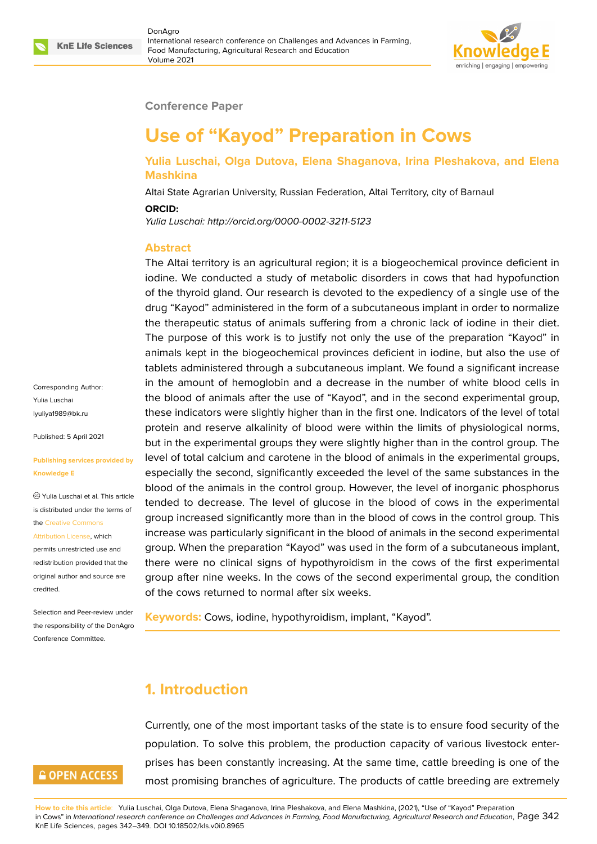

### **Conference Paper**

# **Use of "Kayod" Preparation in Cows**

### **Yulia Luschai, Olga Dutova, Elena Shaganova, Irina Pleshakova, and Elena Mashkina**

Altai State Agrarian University, Russian Federation, Altai Territory, city of Barnaul

**ORCID:**

*Yulia Luschai: http://orcid.org/0000-0002-3211-5123*

#### **Abstract**

The Altai territory is an agricultural region; it is a biogeochemical province deficient in iodine. We conducted a study of metabolic disorders in cows that had hypofunction of the thyroid gland. Our research is devoted to the expediency of a single use of the drug "Kayod" administered in the form of a subcutaneous implant in order to normalize the therapeutic status of animals suffering from a chronic lack of iodine in their diet. The purpose of this work is to justify not only the use of the preparation "Kayod" in animals kept in the biogeochemical provinces deficient in iodine, but also the use of tablets administered through a subcutaneous implant. We found a significant increase in the amount of hemoglobin and a decrease in the number of white blood cells in the blood of animals after the use of "Kayod", and in the second experimental group, these indicators were slightly higher than in the first one. Indicators of the level of total protein and reserve alkalinity of blood were within the limits of physiological norms, but in the experimental groups they were slightly higher than in the control group. The level of total calcium and carotene in the blood of animals in the experimental groups, especially the second, significantly exceeded the level of the same substances in the blood of the animals in the control group. However, the level of inorganic phosphorus tended to decrease. The level of glucose in the blood of cows in the experimental group increased significantly more than in the blood of cows in the control group. This increase was particularly significant in the blood of animals in the second experimental group. When the preparation "Kayod" was used in the form of a subcutaneous implant, there were no clinical signs of hypothyroidism in the cows of the first experimental group after nine weeks. In the cows of the second experimental group, the condition of the cows returned to normal after six weeks.

**Keywords:** Cows, iodine, hypothyroidism, implant, "Kayod".

### **1. Introduction**

Currently, one of the most important tasks of the state is to ensure food security of the population. To solve this problem, the production capacity of various livestock enterprises has been constantly increasing. At the same time, cattle breeding is one of the most promising branches of agriculture. The products of cattle breeding are extremely

Corresponding Author: Yulia Luschai lyuliya1989@bk.ru

Published: 5 April 2021

#### **[Publishing service](mailto:lyuliya1989@bk.ru)s provided by Knowledge E**

Yulia Luschai et al. This article is distributed under the terms of the Creative Commons

#### Attribution License, which

permits unrestricted use and redistribution provided that the orig[inal author and sou](https://creativecommons.org/licenses/by/4.0/)rce are [credited.](https://creativecommons.org/licenses/by/4.0/)

Selection and Peer-review under the responsibility of the DonAgro Conference Committee.

## **GOPEN ACCESS**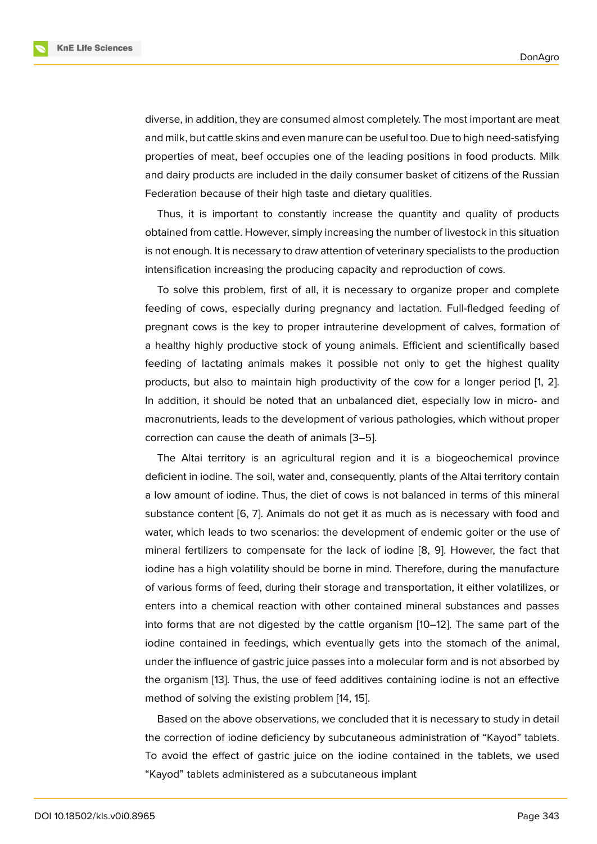diverse, in addition, they are consumed almost completely. The most important are meat and milk, but cattle skins and even manure can be useful too. Due to high need-satisfying properties of meat, beef occupies one of the leading positions in food products. Milk and dairy products are included in the daily consumer basket of citizens of the Russian Federation because of their high taste and dietary qualities.

Thus, it is important to constantly increase the quantity and quality of products obtained from cattle. However, simply increasing the number of livestock in this situation is not enough. It is necessary to draw attention of veterinary specialists to the production intensification increasing the producing capacity and reproduction of cows.

To solve this problem, first of all, it is necessary to organize proper and complete feeding of cows, especially during pregnancy and lactation. Full-fledged feeding of pregnant cows is the key to proper intrauterine development of calves, formation of a healthy highly productive stock of young animals. Efficient and scientifically based feeding of lactating animals makes it possible not only to get the highest quality products, but also to maintain high productivity of the cow for a longer period [1, 2]. In addition, it should be noted that an unbalanced diet, especially low in micro- and macronutrients, leads to the development of various pathologies, which without proper correction can cause the death of animals [3–5].

The Altai territory is an agricultural region and it is a biogeochemical province deficient in iodine. The soil, water and, consequently, plants of the Altai territory contain a low amount of iodine. Thus, the diet of c[ow](#page-6-0)[s](#page-6-1) is not balanced in terms of this mineral substance content [6, 7]. Animals do not get it as much as is necessary with food and water, which leads to two scenarios: the development of endemic goiter or the use of mineral fertilizers to compensate for the lack of iodine [8, 9]. However, the fact that iodine has a high v[ola](#page-6-2)[til](#page-6-3)ity should be borne in mind. Therefore, during the manufacture of various forms of feed, during their storage and transportation, it either volatilizes, or enters into a chemical reaction with other contained mi[ne](#page-6-4)r[al](#page-7-0) substances and passes into forms that are not digested by the cattle organism [10–12]. The same part of the iodine contained in feedings, which eventually gets into the stomach of the animal, under the influence of gastric juice passes into a molecular form and is not absorbed by the organism [13]. Thus, the use of feed additives contai[nin](#page-7-1)g [io](#page-7-2)dine is not an effective method of solving the existing problem [14, 15].

Based on the above observations, we concluded that it is necessary to study in detail the correction [of](#page-7-3) iodine deficiency by subcutaneous administration of "Kayod" tablets. To avoid the effect of gastric juice on [the](#page-7-4) [io](#page-7-5)dine contained in the tablets, we used "Kayod" tablets administered as a subcutaneous implant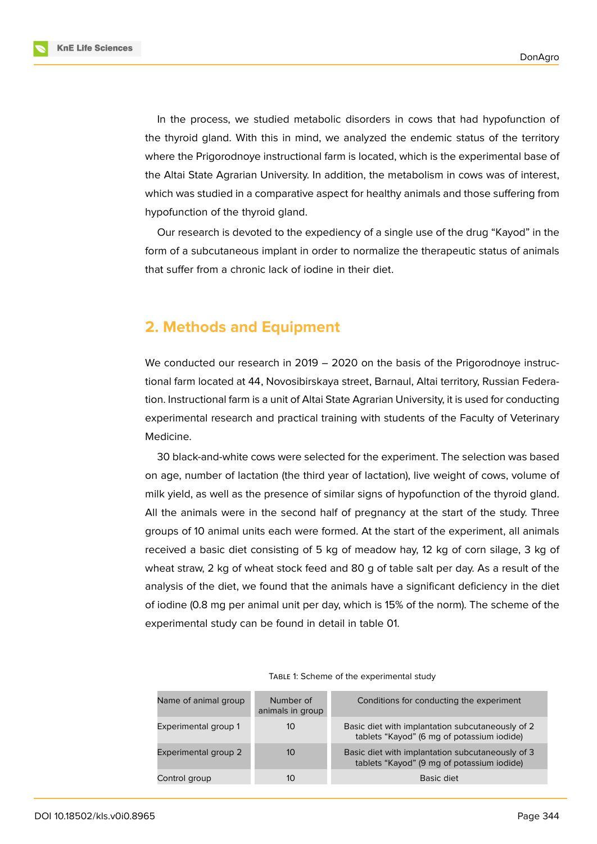**KnE Life Sciences** 



In the process, we studied metabolic disorders in cows that had hypofunction of the thyroid gland. With this in mind, we analyzed the endemic status of the territory where the Prigorodnoye instructional farm is located, which is the experimental base of the Altai State Agrarian University. In addition, the metabolism in cows was of interest, which was studied in a comparative aspect for healthy animals and those suffering from hypofunction of the thyroid gland.

Our research is devoted to the expediency of a single use of the drug "Kayod" in the form of a subcutaneous implant in order to normalize the therapeutic status of animals that suffer from a chronic lack of iodine in their diet.

## **2. Methods and Equipment**

We conducted our research in 2019 – 2020 on the basis of the Prigorodnoye instructional farm located at 44, Novosibirskaya street, Barnaul, Altai territory, Russian Federation. Instructional farm is a unit of Altai State Agrarian University, it is used for conducting experimental research and practical training with students of the Faculty of Veterinary Medicine.

30 black-and-white cows were selected for the experiment. The selection was based on age, number of lactation (the third year of lactation), live weight of cows, volume of milk yield, as well as the presence of similar signs of hypofunction of the thyroid gland. All the animals were in the second half of pregnancy at the start of the study. Three groups of 10 animal units each were formed. At the start of the experiment, all animals received a basic diet consisting of 5 kg of meadow hay, 12 kg of corn silage, 3 kg of wheat straw, 2 kg of wheat stock feed and 80 g of table salt per day. As a result of the analysis of the diet, we found that the animals have a significant deficiency in the diet of iodine (0.8 mg per animal unit per day, which is 15% of the norm). The scheme of the experimental study can be found in detail in table 01.

| Name of animal group | Number of<br>animals in group | Conditions for conducting the experiment                                                       |
|----------------------|-------------------------------|------------------------------------------------------------------------------------------------|
| Experimental group 1 | 10                            | Basic diet with implantation subcutaneously of 2<br>tablets "Kayod" (6 mg of potassium iodide) |
| Experimental group 2 | 10                            | Basic diet with implantation subcutaneously of 3<br>tablets "Kayod" (9 mg of potassium iodide) |
| Control group        | 10                            | Basic diet                                                                                     |

TABLE 1: Scheme of the experimental study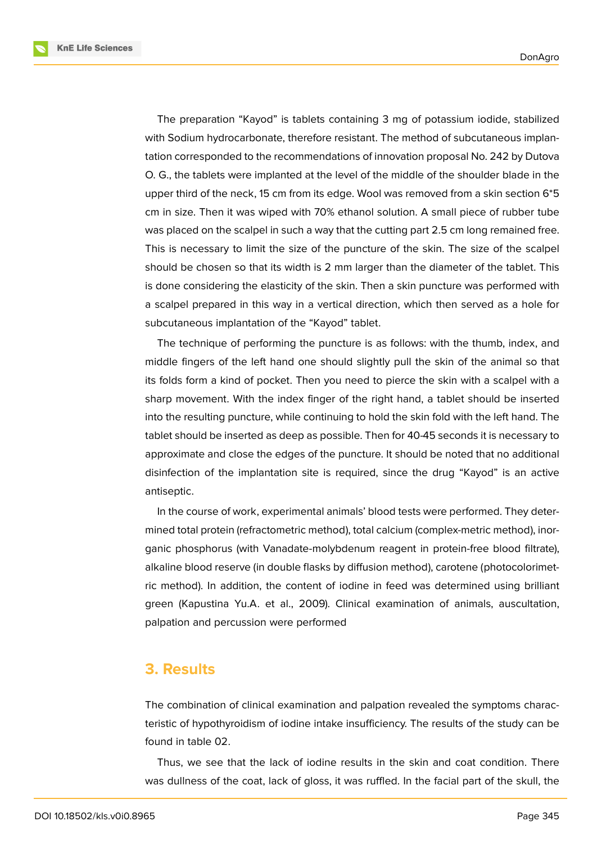**KnE Life Sciences** 



The preparation "Kayod" is tablets containing 3 mg of potassium iodide, stabilized with Sodium hydrocarbonate, therefore resistant. The method of subcutaneous implantation corresponded to the recommendations of innovation proposal No. 242 by Dutova O. G., the tablets were implanted at the level of the middle of the shoulder blade in the upper third of the neck, 15 cm from its edge. Wool was removed from a skin section 6\*5 cm in size. Then it was wiped with 70% ethanol solution. A small piece of rubber tube was placed on the scalpel in such a way that the cutting part 2.5 cm long remained free. This is necessary to limit the size of the puncture of the skin. The size of the scalpel should be chosen so that its width is 2 mm larger than the diameter of the tablet. This is done considering the elasticity of the skin. Then a skin puncture was performed with a scalpel prepared in this way in a vertical direction, which then served as a hole for subcutaneous implantation of the "Kayod" tablet.

The technique of performing the puncture is as follows: with the thumb, index, and middle fingers of the left hand one should slightly pull the skin of the animal so that its folds form a kind of pocket. Then you need to pierce the skin with a scalpel with a sharp movement. With the index finger of the right hand, a tablet should be inserted into the resulting puncture, while continuing to hold the skin fold with the left hand. The tablet should be inserted as deep as possible. Then for 40-45 seconds it is necessary to approximate and close the edges of the puncture. It should be noted that no additional disinfection of the implantation site is required, since the drug "Kayod" is an active antiseptic.

In the course of work, experimental animals' blood tests were performed. They determined total protein (refractometric method), total calcium (complex-metric method), inorganic phosphorus (with Vanadate-molybdenum reagent in protein-free blood filtrate), alkaline blood reserve (in double flasks by diffusion method), carotene (photocolorimetric method). In addition, the content of iodine in feed was determined using brilliant green (Kapustina Yu.A. et al., 2009). Clinical examination of animals, auscultation, palpation and percussion were performed

### **3. Results**

The combination of clinical examination and palpation revealed the symptoms characteristic of hypothyroidism of iodine intake insufficiency. The results of the study can be found in table 02.

Thus, we see that the lack of iodine results in the skin and coat condition. There was dullness of the coat, lack of gloss, it was ruffled. In the facial part of the skull, the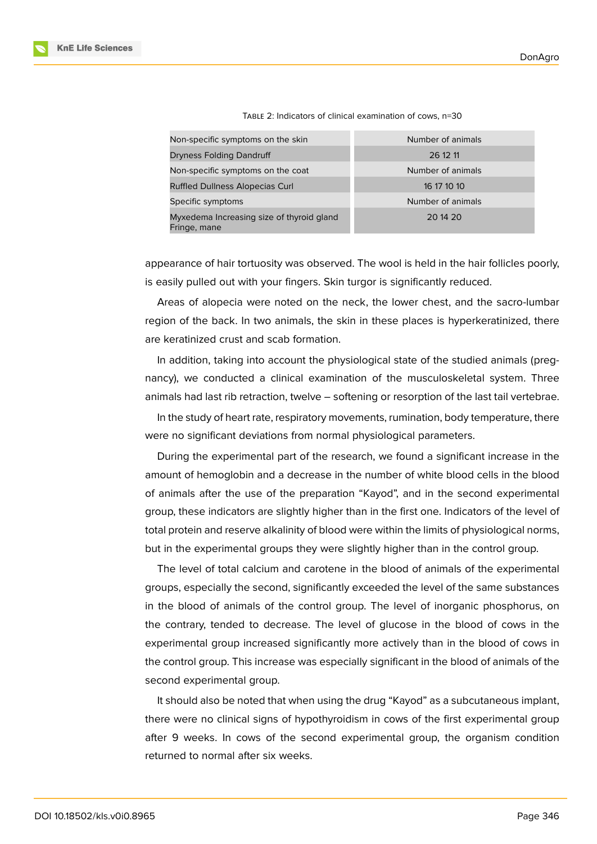| Non-specific symptoms on the skin                         | Number of animals |
|-----------------------------------------------------------|-------------------|
| Dryness Folding Dandruff                                  | 26 12 11          |
| Non-specific symptoms on the coat                         | Number of animals |
| <b>Ruffled Dullness Alopecias Curl</b>                    | 16 17 10 10       |
| Specific symptoms                                         | Number of animals |
| Myxedema Increasing size of thyroid gland<br>Fringe, mane | 20 14 20          |

TABLE 2: Indicators of clinical examination of cows, n=30

appearance of hair tortuosity was observed. The wool is held in the hair follicles poorly, is easily pulled out with your fingers. Skin turgor is significantly reduced.

Areas of alopecia were noted on the neck, the lower chest, and the sacro-lumbar region of the back. In two animals, the skin in these places is hyperkeratinized, there are keratinized crust and scab formation.

In addition, taking into account the physiological state of the studied animals (pregnancy), we conducted a clinical examination of the musculoskeletal system. Three animals had last rib retraction, twelve – softening or resorption of the last tail vertebrae.

In the study of heart rate, respiratory movements, rumination, body temperature, there were no significant deviations from normal physiological parameters.

During the experimental part of the research, we found a significant increase in the amount of hemoglobin and a decrease in the number of white blood cells in the blood of animals after the use of the preparation "Kayod", and in the second experimental group, these indicators are slightly higher than in the first one. Indicators of the level of total protein and reserve alkalinity of blood were within the limits of physiological norms, but in the experimental groups they were slightly higher than in the control group.

The level of total calcium and carotene in the blood of animals of the experimental groups, especially the second, significantly exceeded the level of the same substances in the blood of animals of the control group. The level of inorganic phosphorus, on the contrary, tended to decrease. The level of glucose in the blood of cows in the experimental group increased significantly more actively than in the blood of cows in the control group. This increase was especially significant in the blood of animals of the second experimental group.

It should also be noted that when using the drug "Kayod" as a subcutaneous implant, there were no clinical signs of hypothyroidism in cows of the first experimental group after 9 weeks. In cows of the second experimental group, the organism condition returned to normal after six weeks.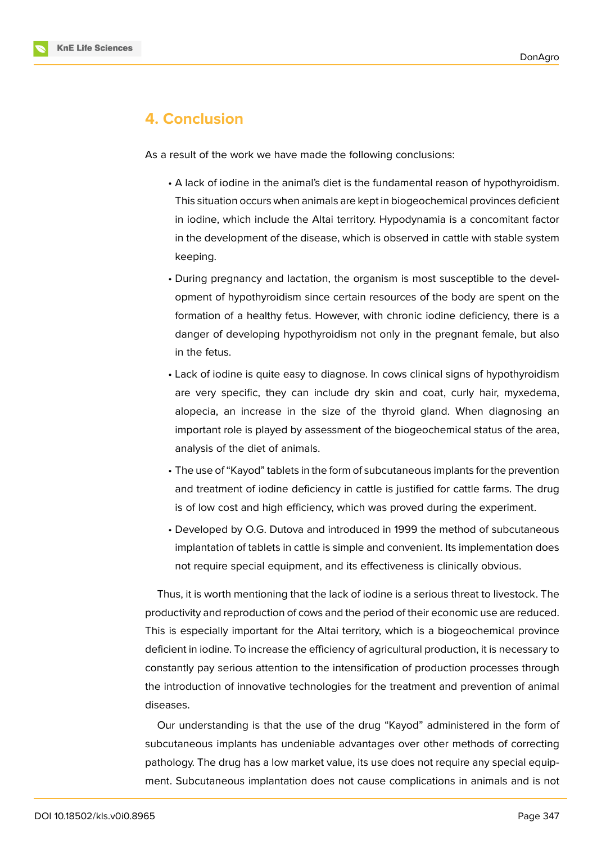

## **4. Conclusion**

As a result of the work we have made the following conclusions:

- A lack of iodine in the animal's diet is the fundamental reason of hypothyroidism. This situation occurs when animals are kept in biogeochemical provinces deficient in iodine, which include the Altai territory. Hypodynamia is a concomitant factor in the development of the disease, which is observed in cattle with stable system keeping.
- During pregnancy and lactation, the organism is most susceptible to the development of hypothyroidism since certain resources of the body are spent on the formation of a healthy fetus. However, with chronic iodine deficiency, there is a danger of developing hypothyroidism not only in the pregnant female, but also in the fetus.
- Lack of iodine is quite easy to diagnose. In cows clinical signs of hypothyroidism are very specific, they can include dry skin and coat, curly hair, myxedema, alopecia, an increase in the size of the thyroid gland. When diagnosing an important role is played by assessment of the biogeochemical status of the area, analysis of the diet of animals.
- The use of "Kayod" tablets in the form of subcutaneous implants for the prevention and treatment of iodine deficiency in cattle is justified for cattle farms. The drug is of low cost and high efficiency, which was proved during the experiment.
- Developed by O.G. Dutova and introduced in 1999 the method of subcutaneous implantation of tablets in cattle is simple and convenient. Its implementation does not require special equipment, and its effectiveness is clinically obvious.

Thus, it is worth mentioning that the lack of iodine is a serious threat to livestock. The productivity and reproduction of cows and the period of their economic use are reduced. This is especially important for the Altai territory, which is a biogeochemical province deficient in iodine. To increase the efficiency of agricultural production, it is necessary to constantly pay serious attention to the intensification of production processes through the introduction of innovative technologies for the treatment and prevention of animal diseases.

Our understanding is that the use of the drug "Kayod" administered in the form of subcutaneous implants has undeniable advantages over other methods of correcting pathology. The drug has a low market value, its use does not require any special equipment. Subcutaneous implantation does not cause complications in animals and is not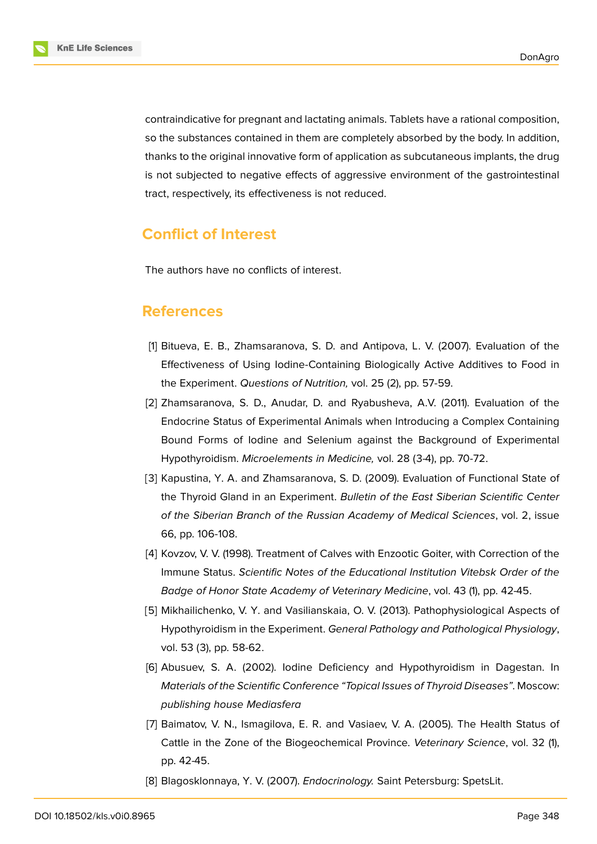

contraindicative for pregnant and lactating animals. Tablets have a rational composition, so the substances contained in them are completely absorbed by the body. In addition, thanks to the original innovative form of application as subcutaneous implants, the drug is not subjected to negative effects of aggressive environment of the gastrointestinal tract, respectively, its effectiveness is not reduced.

## **Conflict of Interest**

The authors have no conflicts of interest.

### **References**

- [1] Bitueva, E. B., Zhamsaranova, S. D. and Antipova, L. V. (2007). Evaluation of the Effectiveness of Using Iodine-Containing Biologically Active Additives to Food in the Experiment. *Questions of Nutrition,* vol. 25 (2), pp. 57-59.
- [2] Zhamsaranova, S. D., Anudar, D. and Ryabusheva, A.V. (2011). Evaluation of the Endocrine Status of Experimental Animals when Introducing a Complex Containing Bound Forms of Iodine and Selenium against the Background of Experimental Hypothyroidism. *Microelements in Medicine,* vol. 28 (3-4), pp. 70-72.
- <span id="page-6-0"></span>[3] Kapustina, Y. A. and Zhamsaranova, S. D. (2009). Evaluation of Functional State of the Thyroid Gland in an Experiment. *Bulletin of the East Siberian Scientific Center of the Siberian Branch of the Russian Academy of Medical Sciences*, vol. 2, issue 66, pp. 106-108.
- [4] Kovzov, V. V. (1998). Treatment of Calves with Enzootic Goiter, with Correction of the Immune Status. *Scientific Notes of the Educational Institution Vitebsk Order of the Badge of Honor State Academy of Veterinary Medicine*, vol. 43 (1), pp. 42-45.
- <span id="page-6-1"></span>[5] Mikhailichenko, V. Y. and Vasilianskaia, O. V. (2013). Pathophysiological Aspects of Hypothyroidism in the Experiment. *General Pathology and Pathological Physiology*, vol. 53 (3), pp. 58-62.
- <span id="page-6-2"></span>[6] Abusuev, S. A. (2002). Iodine Deficiency and Hypothyroidism in Dagestan. In *Materials of the Scientific Conference "Topical Issues of Thyroid Diseases"*. Moscow: *publishing house Mediasfera*
- <span id="page-6-3"></span>[7] Baimatov, V. N., Ismagilova, E. R. and Vasiaev, V. A. (2005). The Health Status of Cattle in the Zone of the Biogeochemical Province. *Veterinary Science*, vol. 32 (1), pp. 42-45.
- <span id="page-6-4"></span>[8] Blagosklonnaya, Y. V. (2007). *Endocrinology.* Saint Petersburg: SpetsLit.